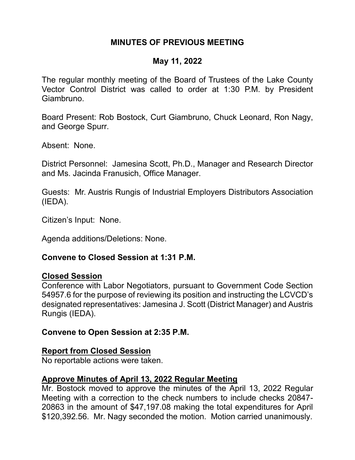# **MINUTES OF PREVIOUS MEETING**

### **May 11, 2022**

The regular monthly meeting of the Board of Trustees of the Lake County Vector Control District was called to order at 1:30 P.M. by President Giambruno.

Board Present: Rob Bostock, Curt Giambruno, Chuck Leonard, Ron Nagy, and George Spurr.

Absent: None.

District Personnel: Jamesina Scott, Ph.D., Manager and Research Director and Ms. Jacinda Franusich, Office Manager.

Guests: Mr. Austris Rungis of Industrial Employers Distributors Association (IEDA).

Citizen's Input: None.

Agenda additions/Deletions: None.

#### **Convene to Closed Session at 1:31 P.M.**

#### **Closed Session**

Conference with Labor Negotiators, pursuant to Government Code Section 54957.6 for the purpose of reviewing its position and instructing the LCVCD's designated representatives: Jamesina J. Scott (District Manager) and Austris Rungis (IEDA).

#### **Convene to Open Session at 2:35 P.M.**

#### **Report from Closed Session**

No reportable actions were taken.

#### **Approve Minutes of April 13, 2022 Regular Meeting**

Mr. Bostock moved to approve the minutes of the April 13, 2022 Regular Meeting with a correction to the check numbers to include checks 20847- 20863 in the amount of \$47,197.08 making the total expenditures for April \$120,392.56. Mr. Nagy seconded the motion. Motion carried unanimously.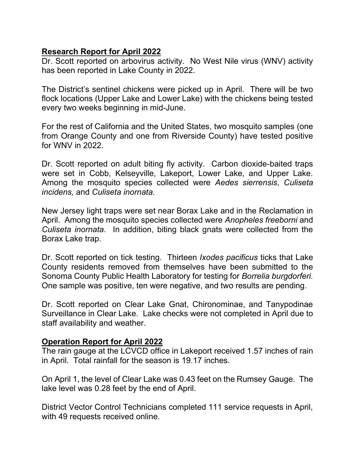## **Research Report for April 2022**

Dr. Scott reported on arbovirus activity. No West Nile virus (WNV) activity has been reported in Lake County in 2022.

The District's sentinel chickens were picked up in April. There will be two flock locations (Upper Lake and Lower Lake) with the chickens being tested every two weeks beginning in mid-June.

For the rest of California and the United States, two mosquito samples (one from Orange County and one from Riverside County) have tested positive for WNV in 2022.

Dr. Scott reported on adult biting fly activity. Carbon dioxide-baited traps were set in Cobb, Kelseyville, Lakeport, Lower Lake, and Upper Lake. Among the mosquito species collected were *Aedes sierrensis*, *Culiseta incidens,* and *Culiseta inornata.*

New Jersey light traps were set near Borax Lake and in the Reclamation in April. Among the mosquito species collected were *Anopheles freeborni* and *Culiseta inornata.* In addition, biting black gnats were collected from the Borax Lake trap.

Dr. Scott reported on tick testing. Thirteen *Ixodes pacificus* ticks that Lake County residents removed from themselves have been submitted to the Sonoma County Public Health Laboratory for testing for *Borrelia burgdorferi.* One sample was positive, ten were negative, and two results are pending.

Dr. Scott reported on Clear Lake Gnat, Chironominae, and Tanypodinae Surveillance in Clear Lake. Lake checks were not completed in April due to staff availability and weather.

## **Operation Report for April 2022**

The rain gauge at the LCVCD office in Lakeport received 1.57 inches of rain in April. Total rainfall for the season is 19.17 inches.

On April 1, the level of Clear Lake was 0.43 feet on the Rumsey Gauge. The lake level was 0.28 feet by the end of April.

District Vector Control Technicians completed 111 service requests in April, with 49 requests received online.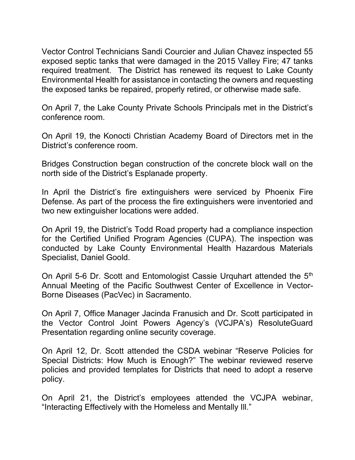Vector Control Technicians Sandi Courcier and Julian Chavez inspected 55 exposed septic tanks that were damaged in the 2015 Valley Fire; 47 tanks required treatment. The District has renewed its request to Lake County Environmental Health for assistance in contacting the owners and requesting the exposed tanks be repaired, properly retired, or otherwise made safe.

On April 7, the Lake County Private Schools Principals met in the District's conference room.

On April 19, the Konocti Christian Academy Board of Directors met in the District's conference room.

Bridges Construction began construction of the concrete block wall on the north side of the District's Esplanade property.

In April the District's fire extinguishers were serviced by Phoenix Fire Defense. As part of the process the fire extinguishers were inventoried and two new extinguisher locations were added.

On April 19, the District's Todd Road property had a compliance inspection for the Certified Unified Program Agencies (CUPA). The inspection was conducted by Lake County Environmental Health Hazardous Materials Specialist, Daniel Goold.

On April 5-6 Dr. Scott and Entomologist Cassie Urquhart attended the 5<sup>th</sup> Annual Meeting of the Pacific Southwest Center of Excellence in Vector-Borne Diseases (PacVec) in Sacramento.

On April 7, Office Manager Jacinda Franusich and Dr. Scott participated in the Vector Control Joint Powers Agency's (VCJPA's) ResoluteGuard Presentation regarding online security coverage.

On April 12, Dr. Scott attended the CSDA webinar "Reserve Policies for Special Districts: How Much is Enough?" The webinar reviewed reserve policies and provided templates for Districts that need to adopt a reserve policy.

On April 21, the District's employees attended the VCJPA webinar, "Interacting Effectively with the Homeless and Mentally Ill."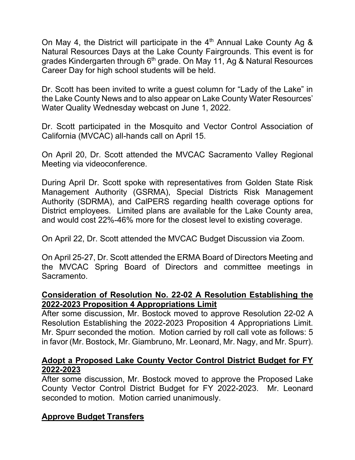On May 4, the District will participate in the  $4<sup>th</sup>$  Annual Lake County Ag & Natural Resources Days at the Lake County Fairgrounds. This event is for grades Kindergarten through  $6<sup>th</sup>$  grade. On May 11, Ag & Natural Resources Career Day for high school students will be held.

Dr. Scott has been invited to write a guest column for "Lady of the Lake" in the Lake County News and to also appear on Lake County Water Resources' Water Quality Wednesday webcast on June 1, 2022.

Dr. Scott participated in the Mosquito and Vector Control Association of California (MVCAC) all-hands call on April 15.

On April 20, Dr. Scott attended the MVCAC Sacramento Valley Regional Meeting via videoconference.

During April Dr. Scott spoke with representatives from Golden State Risk Management Authority (GSRMA), Special Districts Risk Management Authority (SDRMA), and CalPERS regarding health coverage options for District employees. Limited plans are available for the Lake County area, and would cost 22%-46% more for the closest level to existing coverage.

On April 22, Dr. Scott attended the MVCAC Budget Discussion via Zoom.

On April 25-27, Dr. Scott attended the ERMA Board of Directors Meeting and the MVCAC Spring Board of Directors and committee meetings in Sacramento.

## **Consideration of Resolution No. 22-02 A Resolution Establishing the 2022-2023 Proposition 4 Appropriations Limit**

After some discussion, Mr. Bostock moved to approve Resolution 22-02 A Resolution Establishing the 2022-2023 Proposition 4 Appropriations Limit. Mr. Spurr seconded the motion. Motion carried by roll call vote as follows: 5 in favor (Mr. Bostock, Mr. Giambruno, Mr. Leonard, Mr. Nagy, and Mr. Spurr).

## **Adopt a Proposed Lake County Vector Control District Budget for FY 2022-2023**

After some discussion, Mr. Bostock moved to approve the Proposed Lake County Vector Control District Budget for FY 2022-2023. Mr. Leonard seconded to motion. Motion carried unanimously.

# **Approve Budget Transfers**